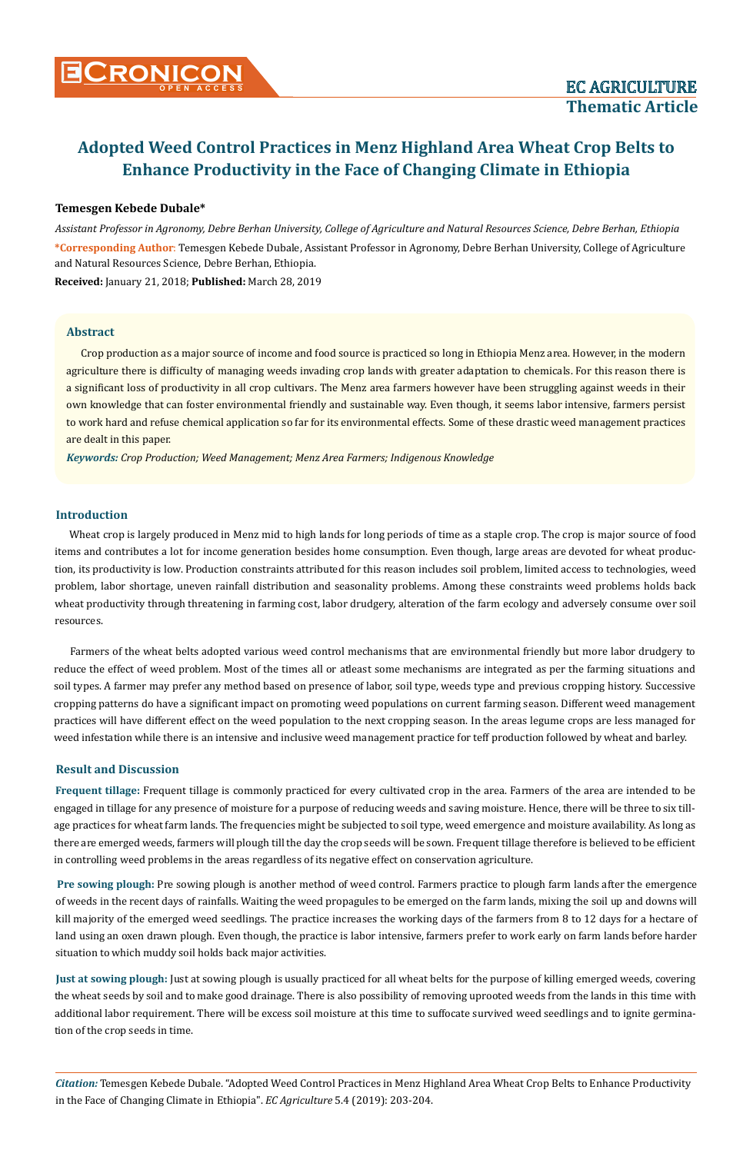# **Adopted Weed Control Practices in Menz Highland Area Wheat Crop Belts to Enhance Productivity in the Face of Changing Climate in Ethiopia**

#### **Temesgen Kebede Dubale\***

*Assistant Professor in Agronomy, Debre Berhan University, College of Agriculture and Natural Resources Science, Debre Berhan, Ethiopia* **\*Corresponding Author**: Temesgen Kebede Dubale, Assistant Professor in Agronomy, Debre Berhan University, College of Agriculture and Natural Resources Science, Debre Berhan, Ethiopia.

**Received:** January 21, 2018; **Published:** March 28, 2019

#### **Abstract**

Crop production as a major source of income and food source is practiced so long in Ethiopia Menz area. However, in the modern agriculture there is difficulty of managing weeds invading crop lands with greater adaptation to chemicals. For this reason there is a significant loss of productivity in all crop cultivars. The Menz area farmers however have been struggling against weeds in their own knowledge that can foster environmental friendly and sustainable way. Even though, it seems labor intensive, farmers persist to work hard and refuse chemical application so far for its environmental effects. Some of these drastic weed management practices are dealt in this paper.

*Keywords: Crop Production; Weed Management; Menz Area Farmers; Indigenous Knowledge* 

#### **Introduction**

Wheat crop is largely produced in Menz mid to high lands for long periods of time as a staple crop. The crop is major source of food items and contributes a lot for income generation besides home consumption. Even though, large areas are devoted for wheat production, its productivity is low. Production constraints attributed for this reason includes soil problem, limited access to technologies, weed problem, labor shortage, uneven rainfall distribution and seasonality problems. Among these constraints weed problems holds back wheat productivity through threatening in farming cost, labor drudgery, alteration of the farm ecology and adversely consume over soil resources.

Farmers of the wheat belts adopted various weed control mechanisms that are environmental friendly but more labor drudgery to reduce the effect of weed problem. Most of the times all or atleast some mechanisms are integrated as per the farming situations and soil types. A farmer may prefer any method based on presence of labor, soil type, weeds type and previous cropping history. Successive cropping patterns do have a significant impact on promoting weed populations on current farming season. Different weed management practices will have different effect on the weed population to the next cropping season. In the areas legume crops are less managed for weed infestation while there is an intensive and inclusive weed management practice for teff production followed by wheat and barley.

#### **Result and Discussion**

**Frequent tillage:** Frequent tillage is commonly practiced for every cultivated crop in the area. Farmers of the area are intended to be engaged in tillage for any presence of moisture for a purpose of reducing weeds and saving moisture. Hence, there will be three to six tillage practices for wheat farm lands. The frequencies might be subjected to soil type, weed emergence and moisture availability. As long as there are emerged weeds, farmers will plough till the day the crop seeds will be sown. Frequent tillage therefore is believed to be efficient in controlling weed problems in the areas regardless of its negative effect on conservation agriculture.

**Pre sowing plough:** Pre sowing plough is another method of weed control. Farmers practice to plough farm lands after the emergence of weeds in the recent days of rainfalls. Waiting the weed propagules to be emerged on the farm lands, mixing the soil up and downs will kill majority of the emerged weed seedlings. The practice increases the working days of the farmers from 8 to 12 days for a hectare of land using an oxen drawn plough. Even though, the practice is labor intensive, farmers prefer to work early on farm lands before harder situation to which muddy soil holds back major activities.

**Just at sowing plough:** Just at sowing plough is usually practiced for all wheat belts for the purpose of killing emerged weeds, covering the wheat seeds by soil and to make good drainage. There is also possibility of removing uprooted weeds from the lands in this time with additional labor requirement. There will be excess soil moisture at this time to suffocate survived weed seedlings and to ignite germination of the crop seeds in time.

*Citation:* Temesgen Kebede Dubale*.* "Adopted Weed Control Practices in Menz Highland Area Wheat Crop Belts to Enhance Productivity in the Face of Changing Climate in Ethiopia". *EC Agriculture* 5.4 (2019): 203-204.